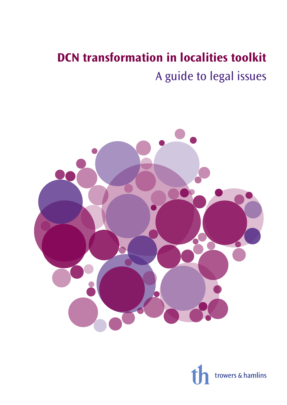# **DCN transformation in localities toolkit** A guide to legal issues



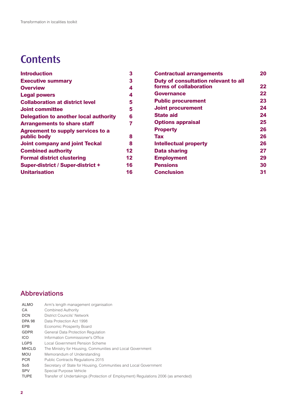## **Contents**

| Introduction                                 | 3  |
|----------------------------------------------|----|
| <b>Executive summary</b>                     | 3  |
| <b>Overview</b>                              | 4  |
| <b>Legal powers</b>                          | 4  |
| <b>Collaboration at district level</b>       | 5  |
| <b>Joint committee</b>                       | 5  |
| <b>Delegation to another local authority</b> | 6  |
| <b>Arrangements to share staff</b>           | 7  |
| <b>Agreement to supply services to a</b>     |    |
| public body                                  | 8  |
| <b>Joint company and joint Teckal</b>        | 8  |
| <b>Combined authority</b>                    | 12 |
| <b>Formal district clustering</b>            | 12 |
| <b>Super-district / Super-district +</b>     | 16 |
| <b>Unitarisation</b>                         | 16 |
|                                              |    |

| <b>Contractual arrangements</b>      | 20 |
|--------------------------------------|----|
| Duty of consultation relevant to all |    |
| forms of collaboration               | 22 |
| <b>Governance</b>                    | 22 |
| <b>Public procurement</b>            | 23 |
| <b>Joint procurement</b>             | 24 |
| <b>State aid</b>                     | 24 |
| <b>Options appraisal</b>             | 25 |
| <b>Property</b>                      | 26 |
| Tax                                  | 26 |
| <b>Intellectual property</b>         | 26 |
| Data sharing                         | 27 |
| <b>Employment</b>                    | 29 |
| <b>Pensions</b>                      | 30 |
| Conclusion                           | 31 |
|                                      |    |

### Abbreviations

| <b>ALMO</b>   | Arm's length management organisation                                              |
|---------------|-----------------------------------------------------------------------------------|
| CA            | <b>Combined Authority</b>                                                         |
| <b>DCN</b>    | District Councils' Network                                                        |
| <b>DPA 98</b> | Data Protection Act 1998                                                          |
| <b>EPB</b>    | Economic Prosperity Board                                                         |
| <b>GDPR</b>   | <b>General Data Protection Regulation</b>                                         |
| <b>ICO</b>    | Information Commissioner's Office                                                 |
| <b>LGPS</b>   | Local Government Pension Scheme                                                   |
| <b>MHCLG</b>  | The Ministry for Housing, Communities and Local Government                        |
| <b>MOU</b>    | Memorandum of Understanding                                                       |
| <b>PCR</b>    | Public Contracts Regulations 2015                                                 |
| SoS           | Secretary of State for Housing, Communities and Local Government                  |
| <b>SPV</b>    | Special Purpose Vehicle                                                           |
| <b>TUPE</b>   | Transfer of Undertakings (Protection of Employment) Regulations 2006 (as amended) |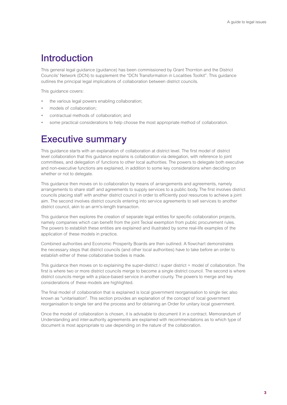## Introduction

This general legal guidance (guidance) has been commissioned by Grant Thornton and the District Councils' Network (DCN) to supplement the "DCN Transformation in Localities Toolkit". This guidance outlines the principal legal implications of collaboration between district councils.

This guidance covers:

- the various legal powers enabling collaboration;
- models of collaboration:
- contractual methods of collaboration; and
- some practical considerations to help choose the most appropriate method of collaboration.

## Executive summary

This guidance starts with an explanation of collaboration at district level. The first model of district level collaboration that this guidance explains is collaboration via delegation, with reference to joint committees, and delegation of functions to other local authorities. The powers to delegate both executive and non-executive functions are explained, in addition to some key considerations when deciding on whether or not to delegate.

This guidance then moves on to collaboration by means of arrangements and agreements, namely arrangements to share staff and agreements to supply services to a public body. The first involves district councils placing staff with another district council in order to efficiently pool resources to achieve a joint aim. The second involves district councils entering into service agreements to sell services to another district council, akin to an arm's-length transaction.

This guidance then explores the creation of separate legal entities for specific collaboration projects, namely companies which can benefit from the joint Teckal exemption from public procurement rules. The powers to establish these entities are explained and illustrated by some real-life examples of the application of these models in practice.

Combined authorities and Economic Prosperity Boards are then outlined. A flowchart demonstrates the necessary steps that district councils (and other local authorities) have to take before an order to establish either of these collaborative bodies is made.

This guidance then moves on to explaining the super-district / super district + model of collaboration. The first is where two or more district councils merge to become a single district council. The second is where district councils merge with a place-based service in another county. The powers to merge and key considerations of these models are highlighted.

The final model of collaboration that is explained is local government reorganisation to single tier, also known as "unitarisation". This section provides an explanation of the concept of local government reorganisation to single tier and the process and for obtaining an Order for unitary local government.

Once the model of collaboration is chosen, it is advisable to document it in a contract. Memorandum of Understanding and inter-authority agreements are explained with recommendations as to which type of document is most appropriate to use depending on the nature of the collaboration.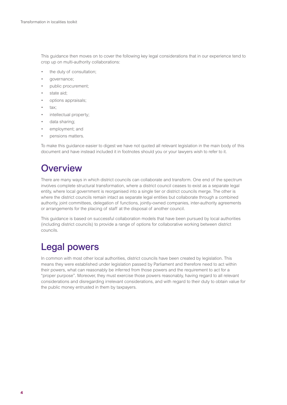This guidance then moves on to cover the following key legal considerations that in our experience tend to crop up on multi-authority collaborations:

- the duty of consultation:
- governance;
- public procurement;
- state aid;
- options appraisals;
- tax:
- intellectual property;
- data sharing;
- employment; and
- pensions matters.

To make this guidance easier to digest we have not quoted all relevant legislation in the main body of this document and have instead included it in footnotes should you or your lawyers wish to refer to it.

## **Overview**

There are many ways in which district councils can collaborate and transform. One end of the spectrum involves complete structural transformation, where a district council ceases to exist as a separate legal entity, where local government is reorganised into a single tier or district councils merge. The other is where the district councils remain intact as separate legal entities but collaborate through a combined authority, joint committees, delegation of functions, jointly-owned companies, inter-authority agreements or arrangements for the placing of staff at the disposal of another council.

This guidance is based on successful collaboration models that have been pursued by local authorities (including district councils) to provide a range of options for collaborative working between district councils.

## Legal powers

In common with most other local authorities, district councils have been created by legislation. This means they were established under legislation passed by Parliament and therefore need to act within their powers, what can reasonably be inferred from those powers and the requirement to act for a "proper purpose". Moreover, they must exercise those powers reasonably, having regard to all relevant considerations and disregarding irrelevant considerations, and with regard to their duty to obtain value for the public money entrusted in them by taxpayers.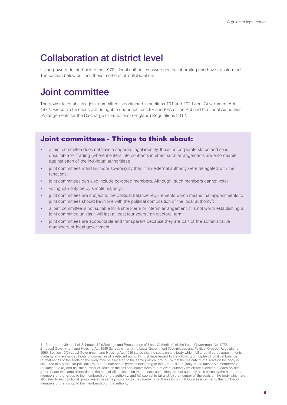## Collaboration at district level

Using powers dating back to the 1970s, local authorities have been collaborating and have transformed. The section below outlines these methods of collaboration.

## Joint committee

The power to establish a joint committee is contained in sections 101 and 102 Local Government Act 1972. Executive functions are delegable under sections 9E and 9EA of the Act and the Local Authorities (Arrangements for the Discharge of Functions) (England) Regulations 2012.

### Joint committees - Things to think about:

- a joint committee does not have a separate legal identity. It has no corporate status and so is unsuitable for trading (where it enters into contracts in effect such arrangements are enforceable against each of the individual authorities);
- joint committees maintain more sovereignty than if an external authority were delegated with the functions;
- joint committees can also include co-opted members. Although, such members cannot vote;
- voting can only be by simple majority;<sup>1</sup>
- joint committees are subject to the political balance requirements which means that appointments to joint committees should be in line with the political composition of the local authority<sup>2</sup>;
- a joint committee is not suitable for a short-term or interim arrangement. It is not worth establishing a joint committee unless it will last at least four years / an electoral term;
- joint committees are accountable and transparent because they are part of the administrative machinery of local government.

<sup>1</sup> Paragraphs 39 to 44 of Schedule 12 (Meetings and Proceedings of Local Authorities) of the Local Government Act 1972. 2 Local Government and Housing Act 1989 Schedule 1 and the Local Government (Committees and Political Groups) Regulations 1990; Section 15(5) Local Government and Housing Act 1989 states that the seats on any body which fall to be filled by appointments made by any relevant authority or committee of a relevant authority must have regard to the following principles of political balance: (a) that not all of the seats on the body may be allocated to the same political group; (b) that the majority of the seats on the body is allocated to a particular political group if the number of persons belonging to that group is a majority of the authority's membership; (c) subject to (a) and (b), the number of seats on the ordinary committees of a relevant authority which are allocated to each political group bears the same proportion to the total of all the seats on the ordinary committees of that authority as is borne by the number of members of that group to the membership of the authority; and (d) subject to (a) and (c) the number of the seats on the body which are allocated to each political group bears the same proportion to the number of all the seats on that body as is borne by the number of members of that group to the membership of the authority.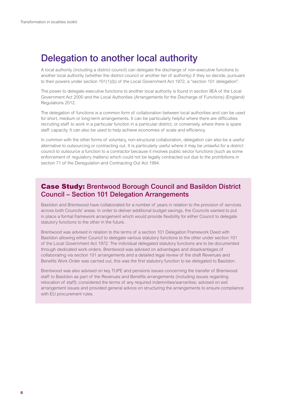## Delegation to another local authority

A local authority (including a district council) can delegate the discharge of non-executive functions to another local authority (whether the district council or another tier of authority) if they so decide, pursuant to their powers under section 101(1)(b) of the Local Government Act 1972, a "section 101 delegation".

The power to delegate executive functions to another local authority is found in section 9EA of the Local Government Act 2000 and the Local Authorities (Arrangements for the Discharge of Functions) (England) Regulations 2012.

The delegation of functions is a common form of collaboration between local authorities and can be used for short, medium or long-term arrangements. It can be particularly helpful where there are difficulties recruiting staff to work in a particular function in a particular district, or conversely, where there is spare staff capacity. It can also be used to help achieve economies of scale and efficiency.

In common with the other forms of voluntary, non-structural collaboration, delegation can also be a useful alternative to outsourcing or contracting out. It is particularly useful where it may be unlawful for a district council to outsource a function to a contractor because it involves public sector functions (such as some enforcement of regulatory matters) which could not be legally contracted out due to the prohibitions in section 71 of the Deregulation and Contracting Out Act 1994.

### Case Study: Brentwood Borough Council and Basildon District Council – Section 101 Delegation Arrangements

Basildon and Brentwood have collaborated for a number of years in relation to the provision of services across both Councils' areas. In order to deliver additional budget savings, the Councils wanted to put in place a formal framework arrangement which would provide flexibility for either Council to delegate statutory functions to the other in the future.

Brentwood was advised in relation to the terms of a section 101 Delegation Framework Deed with Basildon allowing either Council to delegate various statutory functions to the other under section 101 of the Local Government Act 1972. The individual delegated statutory functions are to be documented through dedicated work orders. Brentwood was advised on advantages and disadvantages of collaborating via section 101 arrangements and a detailed legal review of the draft Revenues and Benefits Work Order was carried out, this was the first statutory function to be delegated to Basildon.

Brentwood was also advised on key TUPE and pensions issues concerning the transfer of Brentwood staff to Basildon as part of the Revenues and Benefits arrangements (including issues regarding relocation of staff); considered the terms of any required indemnities/warranties; advised on exit arrangement issues and provided general advice on structuring the arrangements to ensure compliance with EU procurement rules.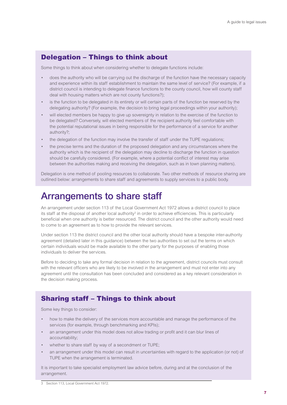### Delegation – Things to think about

Some things to think about when considering whether to delegate functions include:

- does the authority who will be carrying out the discharge of the function have the necessary capacity and experience within its staff establishment to maintain the same level of service? (For example, if a district council is intending to delegate finance functions to the county council, how will county staff deal with housing matters which are not county functions?);
- is the function to be delegated in its entirety or will certain parts of the function be reserved by the delegating authority? (For example, the decision to bring legal proceedings within your authority);
- will elected members be happy to give up sovereignty in relation to the exercise of the function to be delegated? Conversely, will elected members of the recipient authority feel comfortable with the potential reputational issues in being responsible for the performance of a service for another authority?;
- the delegation of the function may involve the transfer of staff under the TUPE regulations;
- the precise terms and the duration of the proposed delegation and any circumstances where the authority which is the recipient of the delegation may decline to discharge the function in question should be carefully considered. (For example, where a potential conflict of interest may arise between the authorities making and receiving the delegation, such as in town planning matters).

Delegation is one method of pooling resources to collaborate. Two other methods of resource sharing are outlined below: arrangements to share staff and agreements to supply services to a public body.

## Arrangements to share staff

An arrangement under section 113 of the Local Government Act 1972 allows a district council to place its staff at the disposal of another local authority<sup>3</sup> in order to achieve efficiencies. This is particularly beneficial when one authority is better resourced. The district council and the other authority would need to come to an agreement as to how to provide the relevant services.

Under section 113 the district council and the other local authority should have a bespoke inter-authority agreement (detailed later in this guidance) between the two authorities to set out the terms on which certain individuals would be made available to the other party for the purposes of enabling those individuals to deliver the services.

Before to deciding to take any formal decision in relation to the agreement, district councils must consult with the relevant officers who are likely to be involved in the arrangement and must not enter into any agreement until the consultation has been concluded and considered as a key relevant consideration in the decision making process.

### Sharing staff – Things to think about

Some key things to consider:

- how to make the delivery of the services more accountable and manage the performance of the services (for example, through benchmarking and KPIs);
- an arrangement under this model does not allow trading or profit and it can blur lines of accountability;
- whether to share staff by way of a secondment or TUPE;
- an arrangement under this model can result in uncertainties with regard to the application (or not) of TUPE when the arrangement is terminated.

It is important to take specialist employment law advice before, during and at the conclusion of the arrangement.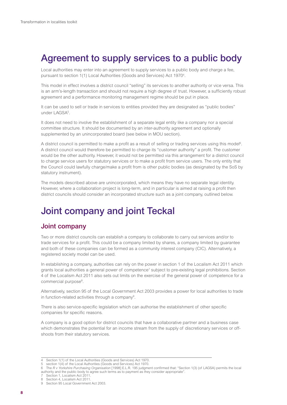## Agreement to supply services to a public body

Local authorities may enter into an agreement to supply services to a public body and charge a fee, pursuant to section 1(1) Local Authorities (Goods and Services) Act 19704 .

This model in effect involves a district council "selling" its services to another authority or vice versa. This is an arm's-length transaction and should not require a high degree of trust. However, a sufficiently robust agreement and a performance monitoring management regime should be put in place.

It can be used to sell or trade in services to entities provided they are designated as "public bodies" under LAGSA5 .

It does not need to involve the establishment of a separate legal entity like a company nor a special committee structure. It should be documented by an inter-authority agreement and optionally supplemented by an unincorporated board (see below in MOU section).

A district council is permitted to make a profit as a result of selling or trading services using this model<sup>6</sup>. A district council would therefore be permitted to charge its "customer authority" a profit. The customer would be the other authority. However, it would not be permitted via this arrangement for a district council to charge service users for statutory services or to make a profit from service users. The only entity that the Council could lawfully charge/make a profit from is other public bodies (as designated by the SoS by statutory instrument).

The models described above are unincorporated, which means they have no separate legal identity. However, where a collaboration project is long-term, and in particular is aimed at raising a profit then district councils should consider an incorporated structure such as a joint company, outlined below.

## Joint company and joint Teckal

### Joint company

Two or more district councils can establish a company to collaborate to carry out services and/or to trade services for a profit. This could be a company limited by shares, a company limited by guarantee and both of these companies can be formed as a community interest company (CIC). Alternatively, a registered society model can be used.

In establishing a company, authorities can rely on the power in section 1 of the Localism Act 2011 which grants local authorities a general power of competence<sup>7</sup> subject to pre-existing legal prohibitions. Section 4 of the Localism Act 2011 also sets out limits on the exercise of the general power of competence for a commercial purpose<sup>8</sup>.

Alternatively, section 95 of the Local Government Act 2003 provides a power for local authorities to trade in function-related activities through a company<sup>9</sup>.

There is also service-specific legislation which can authorise the establishment of other specific companies for specific reasons.

A company is a good option for district councils that have a collaborative partner and a business case which demonstrates the potential for an income stream from the supply of discretionary services or offshoots from their statutory services.

<sup>4</sup> Section 1(1) of the Local Authorities (Goods and Services) Act 1970.

<sup>5</sup> section 1(4) of the Local Authorities (Goods and Services) Act 1970.

<sup>6</sup> The *R v Yorkshire Purchasing Organisation* [1998] E.L.R. 195 judgment confirmed that: "Section 1(3) (of LAGSA) permits the local authority and the public body to agree such terms as to payment as they consider appropriate".

<sup>7</sup> Section 1, Localism Act 2011.

<sup>8</sup> Section 4, Localism Act 2011.

<sup>9</sup> Section 95 Local Government Act 2003.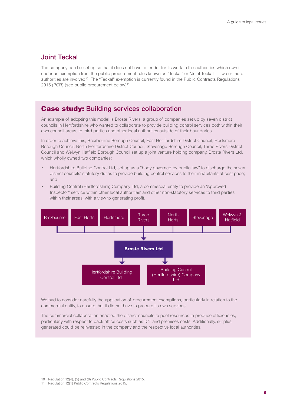### Joint Teckal

The company can be set up so that it does not have to tender for its work to the authorities which own it under an exemption from the public procurement rules known as "Teckal" or "Joint Teckal" if two or more authorities are involved<sup>10</sup>. The "Teckal" exemption is currently found in the Public Contracts Regulations 2015 (PCR) (see public procurement below)<sup>11</sup>.

### **Case study: Building services collaboration**

An example of adopting this model is Broste Rivers, a group of companies set up by seven district councils in Hertfordshire who wanted to collaborate to provide building control services both within their own council areas, to third parties and other local authorities outside of their boundaries.

In order to achieve this, Broxbourne Borough Council, East Hertfordshire District Council, Hertsmere Borough Council, North Hertfordshire District Council, Stevenage Borough Council, Three Rivers District Council and Welwyn Hatfield Borough Council set up a joint venture holding company, Broste Rivers Ltd, which wholly owned two companies:

- Hertfordshire Building Control Ltd, set up as a "body governed by public law" to discharge the seven district councils' statutory duties to provide building control services to their inhabitants at cost price; and
- Building Control (Hertfordshire) Company Ltd, a commercial entity to provide an "Approved Inspector" service within other local authorities' and other non-statutory services to third parties within their areas, with a view to generating profit.



We had to consider carefully the application of procurement exemptions, particularly in relation to the commercial entity, to ensure that it did not have to procure its own services.

The commercial collaboration enabled the district councils to pool resources to produce efficiencies, particularly with respect to back office costs such as ICT and premises costs. Additionally, surplus generated could be reinvested in the company and the respective local authorities.

<sup>10</sup> Regulation 12(4), (5) and (6) Public Contracts Regulations 2015.

Regulation 12(1) Public Contracts Regulations 20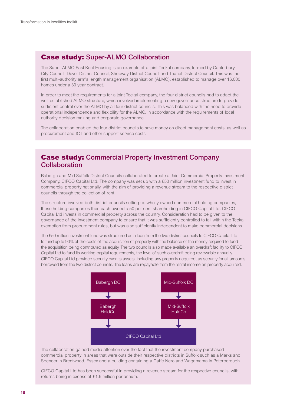### **Case study: Super-ALMO Collaboration**

The Super-ALMO East Kent Housing is an example of a joint Teckal company, formed by Canterbury City Council, Dover District Council, Shepway District Council and Thanet District Council. This was the first multi-authority arm's length management organisation (ALMO), established to manage over 16,000 homes under a 30 year contract.

In order to meet the requirements for a joint Teckal company, the four district councils had to adapt the well-established ALMO structure, which involved implementing a new governance structure to provide sufficient control over the ALMO by all four district councils. This was balanced with the need to provide operational independence and flexibility for the ALMO, in accordance with the requirements of local authority decision making and corporate governance.

The collaboration enabled the four district councils to save money on direct management costs, as well as procurement and ICT and other support service costs.

### Case study: Commercial Property Investment Company **Collaboration**

Babergh and Mid Suffolk District Councils collaborated to create a Joint Commercial Property Investment Company, CIFCO Capital Ltd. The company was set up with a £50 million investment fund to invest in commercial property nationally, with the aim of providing a revenue stream to the respective district councils through the collection of rent.

The structure involved both district councils setting up wholly owned commercial holding companies, these holding companies then each owned a 50 per cent shareholding in CIFCO Capital Ltd. CIFCO Capital Ltd invests in commercial property across the country. Consideration had to be given to the governance of the investment company to ensure that it was sufficiently controlled to fall within the Teckal exemption from procurement rules, but was also sufficiently independent to make commercial decisions.

The £50 million investment fund was structured as a loan from the two district councils to CIFCO Capital Ltd to fund up to 90% of the costs of the acquisition of property with the balance of the money required to fund the acquisition being contributed as equity. The two councils also made available an overdraft facility to CIFCO Capital Ltd to fund its working capital requirements, the level of such overdraft being reviewable annually. CIFCO Capital Ltd provided security over its assets, including any property acquired, as security for all amounts borrowed from the two district councils. The loans are repayable from the rental income on property acquired.



The collaboration gained media attention over the fact that the investment company purchased commercial property in areas that were outside their respective districts in Suffolk such as a Marks and Spencer in Brentwood, Essex and a building containing a Caffe Nero and Wagamama in Peterborough.

CIFCO Capital Ltd has been successful in providing a revenue stream for the respective councils, with returns being in excess of £1.6 million per annum.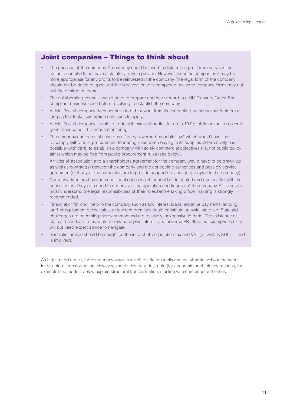### Joint companies – Things to think about

- The purpose of the company. A company could be used to distribute a profit from services the district councils do not have a statutory duty to provide. However, for some companies it may be more appropriate for any profits to be reinvested in the company. The legal form of the company should not be decided upon until the business case is completed, as some company forms may not suit the desired outcome.
- The collaborating councils would need to prepare and have regard to a HM Treasury Green Book compliant business case before resolving to establish the company.
- A Joint Teckal company does not have to bid for work from its contracting authority shareholders as long as the Teckal exemption continues to apply.
- A Joint Teckal company is able to trade with external bodies for up to 19.9% of its annual turnover to generate income. This needs monitoring.
- The company can be established as a "body governed by public law" which would have itself to comply with public procurement tendering rules when buying in its supplies. Alternatively, it is possible (with care) to establish a company with solely commercial objectives (i.e. not public policy aims) which may be free from public procurement rules (see below).
- Articles of association and a shareholders agreement for the company would need to be drawn up as well as contract(s) between the company and the contracting authorities and possibly service agreement(s) if any of the authorities are to provide support services (e.g. payroll to the company).
- Company directors have personal legal duties which cannot be delegated and can conflict with their council roles. They also need to understand the operation and finance of the company. All directors must understand the legal responsibilities of their roles before taking office. Training is strongly recommended.
- Financial or "in kind" help to the company such as low interest loans, advance payments, lending staff or equipment below value, or low rent premises could constitute unlawful state aid. State aid challenges are becoming more common and are relatively inexpensive to bring. The existence of state aid can lead to mandatory claw back plus interest and adverse PR. State aid exemptions exist will but need expert advice to navigate.
- Specialist advice should be sought on the impact of corporation tax and VAT (as well as SDLT if land is involved).

As highlighted above, there are many ways in which district councils can collaborate without the need for structural transformation. However, should this be a desirable (for economic or efficiency reasons, for example) the models below explain structural transformation, starting with combined authorities.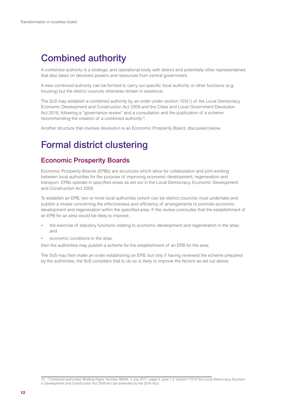## Combined authority

A combined authority is a strategic and operational body with district and potentially other representatives that also takes on devolved powers and resources from central government.

A new combined authority can be formed to carry out specific local authority or other functions (e.g. housing) but the district councils otherwise remain in existence.

The SoS may establish a combined authority by an order under section 103(1) of the Local Democracy, Economic Development and Construction Act 2009 and the Cities and Local Government Devolution Act 2016, following a "governance review" and a consultation and the publication of a scheme recommending the creation of a combined authority<sup>12</sup>.

Another structure that involves devolution is an Economic Prosperity Board, discussed below.

## Formal district clustering

### Economic Prosperity Boards

Economic Prosperity Boards (EPBs) are structures which allow for collaboration and joint working between local authorities for the purpose of improving economic development, regeneration and transport. EPBs operate in specified areas as set out in the Local Democracy, Economic Development and Construction Act 2009.

To establish an EPB, two or more local authorities (which can be district councils) must undertake and publish a review concerning the effectiveness and efficiency of arrangements to promote economic development and regeneration within the specified area. If the review concludes that the establishment of an EPB for an area would be likely to improve:

- the exercise of statutory functions relating to economic development and regeneration in the area; and
- economic conditions in the area,

then the authorities may publish a scheme for the establishment of an EPB for the area.

The SoS may then make an order establishing an EPB, but only if having reviewed the scheme prepared by the authorities, the SoS considers that to do so is likely to improve the factors as set out above.

12 'Combined authorities' Briefing Paper, Number 06649, 4 July 2017, page 4, para 1.2; section 110 of the Local Democracy, Economic Development and Construction Act 2009 Act (as amended by the 2016 Act).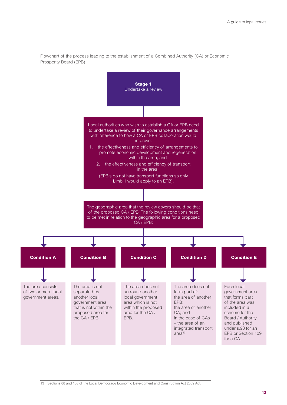

Flowchart of the process leading to the establishment of a Combined Authority (CA) or Economic Prosperity Board (EPB)

13 Sections 88 and 103 of the Local Democracy, Economic Development and Construction Act 2009 Act.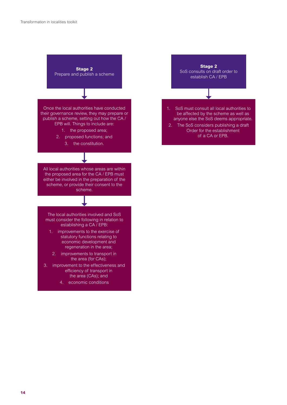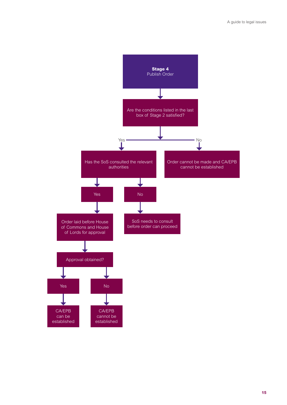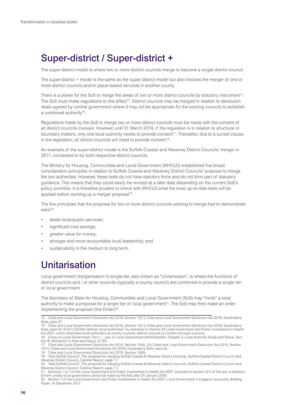## Super-district / Super-district +

The super-district model is where two or more district councils merge to become a single district council.

The super-district + model is the same as the super district model but also involves the merger of one or more district councils and/or place-based services in another county.

There is a power for the SoS to merge the areas of two or more district councils by statutory instrument<sup>14</sup>. The SoS must make regulations to this effect<sup>15</sup>. District councils may be merged in relation to devolution deals agreed by central government where it may not be appropriate for the existing councils to establish a combined authority<sup>16</sup>.

Regulations made by the SoS to merge two or more district councils must be made with the consent of all district councils involved. However, until 31 March 2019, if the regulation is in relation to structural or boundary matters, only one local authority needs to provide consent<sup>17</sup>. Thereafter, due to a sunset clause in the legislation, all district councils will need to provide consent<sup>18</sup>.

An example of the super-district model is the Suffolk Coastal and Waveney District Councils' merger in 2017, consented to by both respective district councils.

The Ministry for Housing, Communities and Local Government (MHCLG) established five broad consideration principles in relation to Suffolk Coastal and Waveney District Councils' proposal to merge the two authorities. However, these tests do not have statutory force and do not form part of statutory guidance. This means that they could easily be revised at a later date depending on the current SoS's policy priorities. It is therefore prudent to check with MHCLG what the most up-to-date tests will be applied before working up a merger proposal<sup>19</sup>.

The five principles that the proposal for two or more district councils wishing to merge had to demonstrate were<sup>20</sup>:

- better local/public services;
- significant cost savings:
- greater value for money;
- stronger and more accountable local leadership; and
- sustainability in the medium to long term.

## Unitarisation

Local government reorganisation to single tier, also known as "Unitarisation", is where the functions of district councils and / or other councils (typically a county council) are combined to provide a single tier of local government.

The Secretary of State for Housing, Communities and Local Government (SoS) may "invite" a local authority to make a proposal for a single tier of local government<sup>21</sup>. The SoS may then make an order implementing the proposal (the Order)<sup>22</sup>.

18 Cities and Local Government Devolution Act 2016, Section 15(8).

<sup>14</sup> Cities and Local Government Devolution Act 2016, Section 15(1); Cities and Local Government Devolution Act 2016, Explanatory Note, para 47.

<sup>15</sup> Cities and Local Government Devolution Act 2016, Section 15(1); Cities and Local Government Devolution Act 2016, Explanatory Note, para 44; S15(1) CLGDA defines "local authorities" by reference to Section 23 Local Government and Public Involvement in Health Act 2007, which described local authorities as county councils, district councils or London borough councils.

<sup>16</sup> Cross on Local Government, Part 1 – Law of Local Government Administration, Chapter 3, Local Authority Areas and Status, Section B. Alterations in Area and Status, 3-18C.

<sup>17</sup> Cities and Local Government Devolution Act 2016, Section 15(4), (5); Cities and Local Government Devolution Act 2016, Section 15(1); Cities and Local Government Devolution Act 2016, Explanatory Note, para 48.

<sup>19</sup> 'East Suffolk Council', The proposal for merging Suffolk Coastal & Waveney District Councils, Suffolk Coastal District Council and Waveney District Council, Cabinet Report, page 11.

<sup>20</sup> 'East Suffolk Council', The proposal for merging Suffolk Coastal & Waveney District Councils, Suffolk Coastal District Council and Waveney District Council, Cabinet Report, page 11.

<sup>21</sup> Sections 1 to 7 of the Local Government and Public Involvement in Health Act 2007; pursuant to section 3(1) of this act, a direction to form unitary local government cannot be made by the SoS after 25 January 2008.

<sup>22</sup> Section 7 of the Local Government and Public Involvement in Health Act 2007; Local Government in England: structures, Briefing Paper, 19 December 2017.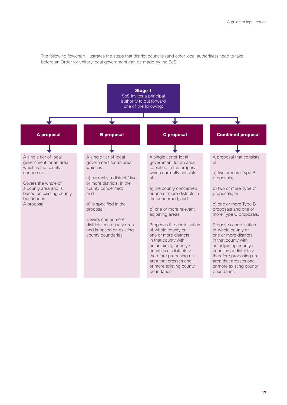The following flowchart illustrates the steps that district councils (and other local authorities) need to take before an Order for unitary local government can be made by the SoS.

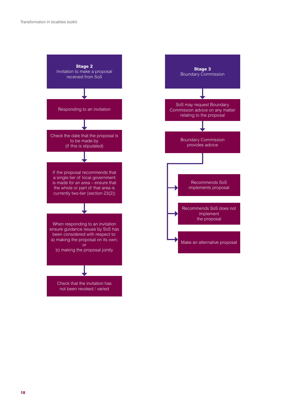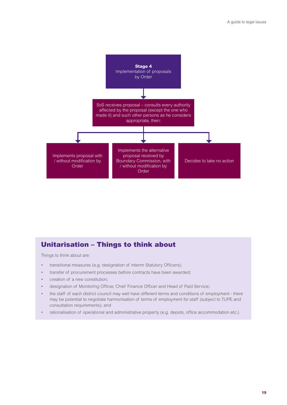

### Unitarisation – Things to think about

Things to think about are:

- transitional measures (e.g. designation of interim Statutory Officers);
- transfer of procurement processes before contracts have been awarded;
- creation of a new constitution;
- designation of Monitoring Officer, Chief Finance Officer and Head of Paid Service;
- the staff of each district council may well have different terms and conditions of employment there may be potential to negotiate harmonisation of terms of employment for staff (subject to TUPE and consultation requirements); and
- rationalisation of operational and administrative property (e.g. depots, office accommodation etc.).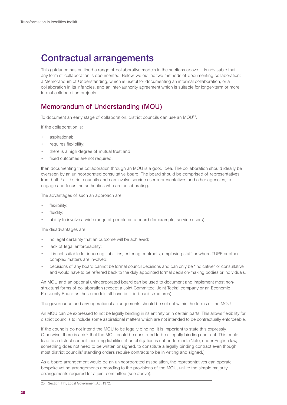## Contractual arrangements

This guidance has outlined a range of collaborative models in the sections above. It is advisable that any form of collaboration is documented. Below, we outline two methods of documenting collaboration: a Memorandum of Understanding, which is useful for documenting an informal collaboration, or a collaboration in its infancies, and an inter-authority agreement which is suitable for longer-term or more formal collaboration projects.

### Memorandum of Understanding (MOU)

To document an early stage of collaboration, district councils can use an MOU<sup>23</sup>.

If the collaboration is:

- aspirational;
- requires flexibility;
- there is a high degree of mutual trust and ;
- fixed outcomes are not required,

then documenting the collaboration through an MOU is a good idea. The collaboration should ideally be overseen by an unincorporated consultative board. The board should be comprised of representatives from both / all district councils and can involve service user representatives and other agencies, to engage and focus the authorities who are collaborating.

The advantages of such an approach are:

- flexibility;
- fluidity;
- ability to involve a wide range of people on a board (for example, service users).

The disadvantages are:

- no legal certainty that an outcome will be achieved;
- lack of legal enforceability;
- it is not suitable for incurring liabilities, entering contracts, employing staff or where TUPE or other complex matters are involved;
- decisions of any board cannot be formal council decisions and can only be "indicative" or consultative and would have to be referred back to the duly appointed formal decision-making bodies or individuals.

An MOU and an optional unincorporated board can be used to document and implement most nonstructural forms of collaboration (except a Joint Committee, Joint Teckal company or an Economic Prosperity Board as these models all have built-in board structures).

The governance and any operational arrangements should be set out within the terms of the MOU.

An MOU can be expressed to not be legally binding in its entirety or in certain parts. This allows flexibility for district councils to include some aspirational matters which are not intended to be contractually enforceable.

If the councils do not intend the MOU to be legally binding, it is important to state this expressly. Otherwise, there is a risk that the MOU could be construed to be a legally binding contract. This could lead to a district council incurring liabilities if an obligation is not performed. (Note, under English law, something does not need to be written or signed, to constitute a legally binding contract even though most district councils' standing orders require contracts to be in writing and signed.)

As a board arrangement would be an unincorporated association, the representatives can operate bespoke voting arrangements according to the provisions of the MOU, unlike the simple majority arrangements required for a joint committee (see above).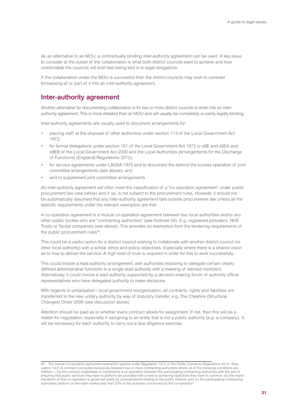As an alternative to an MOU, a contractually binding inter-authority agreement can be used. A key issue to consider at the outset of the collaboration is what both district councils want to achieve and how comfortable the councils will both feel being tied in to legal obligations.

If the collaboration under the MOU is successful then the district councils may wish to consider formalising all or part of it into an inter-authority agreement.

### Inter-authority agreement

Another alternative for documenting collaboration is for two or more district councils to enter into an interauthority agreement. This is more detailed than an MOU and will usually be completely or partly legally binding.

Inter-authority agreements are usually used to document arrangements for:

- placing staff at the disposal of other authorities under section 113 of the Local Government Act 1972;
- for formal delegations under section 101 of the Local Government Act 1972 or s9E and s9EA and s9EB of the Local Government Act 2000 and the Local Authorities (Arrangements for the Discharge of Functions) (England) Regulations 2012);
- for service agreements under LAGSA 1970 and to document the behind the scenes operation of joint committee arrangements (see above); and
- and to supplement joint committee arrangements

An inter-authority agreement will often meet the classification of a "co operation agreement" under public procurement law (see below) and if so, is not subject to the procurement rules. However, it should not be automatically assumed that any inter-authority agreement falls outside procurement law unless all the specific requirements under the relevant exemption are met.

A co-operation agreement is a mutual co-operation agreement between two local authorities and/or any other public bodies who are "contracting authorities" (see footnote 34). E.g. registered providers, NHS Trusts or Teckal companies (see above). This provides an exemption from the tendering requirements of the public procurement rules $24$ .

This could be a useful option for a district council wishing to collaborate with another district council (or other local authority) with a similar ethos and policy objectives. Especially where there is a shared vision as to how to deliver the service. A high level of trust is required in order for this to work successfully.

This could involve a lead authority arrangement, with authorities resolving to delegate certain clearly defined administrative functions to a single lead authority with a meeting of elected members. Alternatively, it could involve a lead authority supported by a decision-making forum of authority officer representatives who have delegated authority to make decisions.

With regards to unitarisation / local government reorganisation, all contracts, rights and liabilities are transferred to the new unitary authority by way of statutory transfer, e.g. The Cheshire (Structural Changes) Order 2008 (see discussion above).

Attention should be paid as to whether every contract allows for assignment. If not, then this will be a matter for negotiation, especially if assigning to an entity that is not a public authority (e.g. a company). It will be necessary for each authority to carry out a due diligence exercise.

<sup>24</sup> The mutual co-operation agreement exemption applies under Regulation 12(7) of the Public Contracts Regulations 2015: "Regulation 12(7) A contract concluded exclusively between two or more contracting authorities where all of the following conditions are fulfilled:— (a) the contract establishes or implements a co-operation between the participating contracting authorities with the aim of ensuring that public services they have to perform are provided with a view to achieving objectives they have in common; (b) the implementation of that co-operation is governed solely by considerations relating to the public interest; and (c) the participating contracting authorities perform on the open market less than 20% of the activities concerned by the co-operation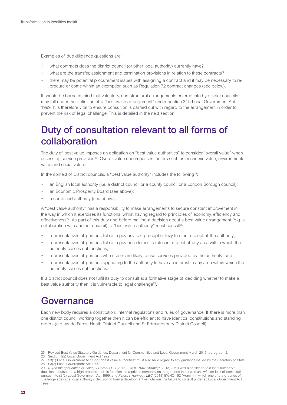Examples of due diligence questions are:

- what contracts does the district council (or other local authority) currently have?
- what are the transfer, assignment and termination provisions in relation to these contracts?
- there may be potential procurement issues with assigning a contract and it may be necessary to reprocure or come within an exemption such as Regulation 72 contract changes (see below).

It should be borne in mind that voluntary, non-structural arrangements entered into by district councils may fall under the definition of a "best value arrangement" under section 3(1) Local Government Act 1999. It is therefore vital to ensure consultion is carried out with regard to the arrangement in order to prevent the risk of legal challenge. This is detailed in the next section.

## Duty of consultation relevant to all forms of collaboration

The duty of best value imposes an obligation on "best value authorities" to consider "overall value" when assessing service provision<sup>25</sup>. Overall value encompasses factors such as economic value, environmental value and social value.

In the context of district councils, a "best value authority" includes the following<sup>26</sup>:

- an English local authority (i.e. a district council or a county council or a London Borough council);
- an Economic Prosperity Board (see above);
- a combined authority (see above).

A "best value authority" has a responsibility to make arrangements to secure constant improvement in the way in which it exercises its functions, whilst having regard to principles of economy, efficiency and effectiveness<sup>27</sup>. As part of this duty and before making a decision about a best value arrangement (e.g. a collaboration with another council), a "best value authority" must consult<sup>28</sup>:

- representatives of persons liable to pay any tax, precept or levy to or in respect of the authority;
- representatives of persons liable to pay non-domestic rates in respect of any area within which the authority carries out functions;
- representatives of persons who use or are likely to use services provided by the authority; and
- representatives of persons appearing to the authority to have an interest in any area within which the authority carries out functions.

If a district council does not fulfil its duty to consult at a formative stage of deciding whether to make a best value authority then it is vulnerable to legal challenge<sup>29</sup>.

### Governance

Each new body requires a constitution, internal regulations and rules of governance. If there is more than one district council working together then it can be efficient to have identical constitutions and standing orders (e.g. as do Forest Heath District Council and St Edmundsbury District Council).

<sup>25</sup> Revised Best Value Statutory Guidance, Department for Communities and Local Government March 2015, paragraph 2.

<sup>26</sup> Section 1(2) Local Government Act 1999

<sup>27</sup> S3(1) Local Government Act 1999; "best value authorities" must also have regard to any guidance issued by the Secretary of State 28 S3(2) Local Government Act 1999

<sup>29</sup> *R. (on the application of Nash) v Barnet LBC* [2013] *EWHC 1067 (Admin);* [2013] – this was a challenge to a local authority's decision to outsource a high proportion of its functions to a private company on the grounds that it was unlawful for lack of consultation pursuant to s3(2) Local Government Act 1999; and *Peters v Haringey LBC* [2018] EWHC 192 (Admin) in which one of the grounds of challenge against a local authority's decision to form a development vehicle was the failure to consult under s3 Local Government Act 1999.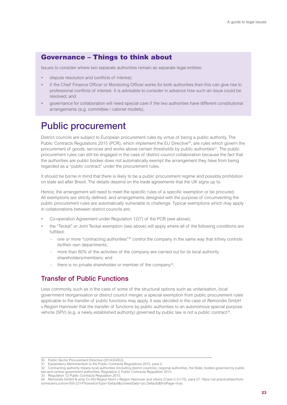### Governance – Things to think about

Issues to consider where two separate authorities remain as separate legal entities:

- dispute resolution and conflicts of interest;
- if the Chief Finance Officer or Monitoring Officer works for both authorities then this can give rise to professional conflicts of interest. It is advisable to consider in advance how such an issue could be resolved; and
- governance for collaboration will need special care if the two authorities have different constitutional arrangements (e.g. committee / cabinet models).

## Public procurement

District councils are subject to European procurement rules by virtue of being a public authority. The Public Contracts Regulations 2015 (PCR), which implement the EU Directive<sup>30</sup>, are rules which govern the procurement of goods, services and works above certain thresholds by public authorities<sup>31</sup>. The public procurement rules can still be engaged in the case of district council collaboration because the fact that the authorities are public bodies does not automatically exempt the arrangement they have from being regarded as a "public contract" under the procurement rules.

It should be borne in mind that there is likely to be a public procurement regime and possibly prohibition on state aid after Brexit. The details depend on the trade agreements that the UK signs up to.

Hence, the arrangement will need to meet the specific rules of a specific exemption or be procured. All exemptions are strictly defined, and arrangements designed with the purpose of circumventing the public procurement rules are automatically vulnerable to challenge. Typical exemptions which may apply in collaborations between district councils are:

- Co-operation Agreement under Regulation 12(7) of the PCR (see above);
- the "Teckal" or Joint Teckal exemption (see above) will apply where all of the following conditions are fulfilled:
	- one or more "contracting authorities"<sup>32</sup> control the company in the same way that it/they controls its/their own departments;
	- more than 80% of the activities of the company are carried out for its local authority shareholders/members; and
	- there is no private shareholder or member of the company<sup>33</sup>.

### Transfer of Public Functions

Less commonly, such as in the case of some of the structural options such as unitarisation, local government reorganisation or district council merger, a special exemption from public procurement rules applicable to the transfer of public functions may apply. It was decided in the case of Remondis GmbH v Region Hannover that the transfer of functions by public authorities to an autonomous special purpose vehicle (SPV) (e.g. a newly established authority) governed by public law is not a public contract<sup>34</sup>.

33 Regulation 12 Public Contracts Regulation 2015.

<sup>30</sup> Public Sector Procurement Directive (2014/24/EU).

<sup>31</sup> Explanatory Memorandum to the Public Contracts Regulations 2015, para 2.

<sup>32</sup> Contracting authority means local authorities (including district councils), regional authorities, the State, bodies governed by public law and central government authorities, Regulation 2 Public Contracts Regulation 2015.

<sup>34</sup> Remondis GmbH & amp Co KG Region Nord v Region Hannover and others (Case C-51/15), para 57: https://uk.practicallaw.thomsonreuters.com/w-005-2314?transitionType=Default&contextData=(sc.Default)&firstPage=true.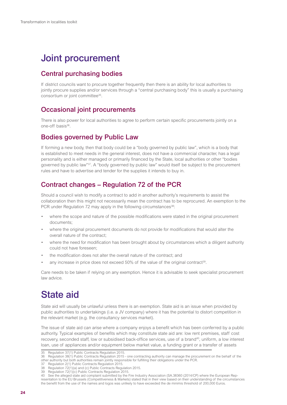## Joint procurement

### Central purchasing bodies

If district councils want to procure together frequently then there is an ability for local authorities to jointly procure supplies and/or services through a "central purchasing body" this is usually a purchasing consortium or joint committee35.

### Occasional joint procurements

There is also power for local authorities to agree to perform certain specific procurements jointly on a one-off basis<sup>36</sup>.

### Bodies governed by Public Law

If forming a new body, then that body could be a "body governed by public law", which is a body that is established to meet needs in the general interest, does not have a commercial character, has a legal personality and is either managed or primarily financed by the State, local authorities or other "bodies governed by public law"37. A "body governed by public law" would itself be subject to the procurement rules and have to advertise and tender for the supplies it intends to buy in.

### Contract changes – Regulation 72 of the PCR

Should a council wish to modify a contract to add in another authority's requirements to assist the collaboration then this might not necessarily mean the contract has to be reprocured. An exemption to the PCR under Regulation 72 may apply in the following circumstances<sup>38</sup>:

- where the scope and nature of the possible modifications were stated in the original procurement documents;
- where the original procurement documents do not provide for modifications that would alter the overall nature of the contract;
- where the need for modification has been brought about by circumstances which a diligent authority could not have foreseen;
- the modification does not alter the overall nature of the contract; and
- any increase in price does not exceed 50% of the value of the original contract<sup>39</sup>.

Care needs to be taken if relying on any exemption. Hence it is advisable to seek specialist procurement law advice.

## State aid

State aid will usually be unlawful unless there is an exemption. State aid is an issue when provided by public authorities to undertakings (i.e. a JV company) where it has the potential to distort competition in the relevant market (e.g. the consultancy services market).

The issue of state aid can arise where a company enjoys a benefit which has been conferred by a public authority. Typical examples of benefits which may constitute state aid are: low rent premises, staff cost recovery, seconded staff, low or subsidised back-office services, use of a brand<sup>40</sup>, uniform, a low interest loan, use of appliances and/or equipment below market value, a funding grant or a transfer of assets

<sup>35</sup> Regulation 37(1) Public Contracts Regulation 2015.

<sup>36</sup> Regulation 38(1) Public Contracts Regulation 2015 - one contracting authority can manage the procurement on the behalf of the other authority but both authorities remain jointly responsible for fulfilling their obligations under the PCR.

<sup>37</sup> Regulation 2(1) Public Contracts Regulation 2015.

<sup>38</sup> Regulation 72(1)(a) and (c) Public Contracts Regulation 2015.

<sup>39</sup> Regulation 72(1)(c) Public Contracts Regulation 2015.

<sup>40</sup> See the alleged state aid complaint submitted by the Fire Industry Association (SA.38360 (2014/CP) where the European Representation to the EU Brussels (Competitiveness & Markets) stated that in their view based on their understanding of the circumstances the benefit from the use of the names and logos was unlikely to have exceeded the de minimis threshold of 200,000 Euros.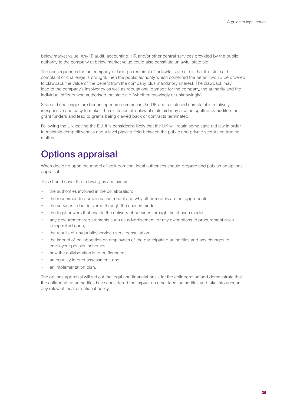below market value. Any IT, audit, accounting, HR and/or other central services provided by the public authority to the company at below market value could also constitute unlawful state aid.

The consequences for the company of being a recipient of unlawful state aid is that if a state aid complaint or challenge is brought, then the public authority which conferred the benefit would be ordered to clawback the value of the benefit from the company plus mandatory interest. The clawback may lead to the company's insolvency as well as reputational damage for the company, the authority and the individual officers who authorised the state aid (whether knowingly or unknowingly).

State aid challenges are becoming more common in the UK and a state aid complaint is relatively inexpensive and easy to make. The existence of unlawful state aid may also be spotted by auditors or grant funders and lead to grants being clawed back or contracts terminated.

Following the UK leaving the EU, it is considered likely that the UK will retain some state aid law in order to maintain competitiveness and a level playing field between the public and private sectors on trading matters.

## Options appraisal

When deciding upon the model of collaboration, local authorities should prepare and publish an options appraisal.

This should cover the following as a minimum:

- the authorities involved in the collaboration;
- the recommended collaboration model and why other models are not appropriate;
- the services to be delivered through the chosen model;
- the legal powers that enable the delivery of services through the chosen model;
- any procurement requirements such as advertisement, or any exemptions to procurement rules being relied upon;
- the results of any public/service users' consultation;
- the impact of collaboration on employees of the participating authorities and any changes to employer / pension schemes;
- how the collaboration is to be financed;
- an equality impact assessment; and
- an implementation plan.

The options appraisal will set out the legal and financial basis for the collaboration and demonstrate that the collaborating authorities have considered the impact on other local authorities and take into account any relevant local or national policy.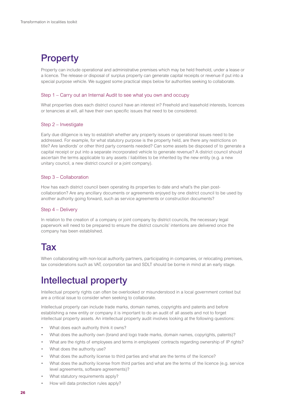## **Property**

Property can include operational and administrative premises which may be held freehold, under a lease or a licence. The release or disposal of surplus property can generate capital receipts or revenue if put into a special purpose vehicle. We suggest some practical steps below for authorities seeking to collaborate.

#### Step 1 – Carry out an Internal Audit to see what you own and occupy

What properties does each district council have an interest in? Freehold and leasehold interests, licences or tenancies at will, all have their own specific issues that need to be considered.

### Step 2 – Investigate

Early due diligence is key to establish whether any property issues or operational issues need to be addressed. For example, for what statutory purpose is the property held, are there any restrictions on title? Are landlords' or other third party consents needed? Can some assets be disposed of to generate a capital receipt or put into a separate incorporated vehicle to generate revenue? A district council should ascertain the terms applicable to any assets / liabilities to be inherited by the new entity (e.g. a new unitary council, a new district council or a joint company).

### Step 3 – Collaboration

How has each district council been operating its properties to date and what's the plan postcollaboration? Are any ancillary documents or agreements enjoyed by one district council to be used by another authority going forward, such as service agreements or construction documents?

### Step 4 – Delivery

In relation to the creation of a company or joint company by district councils, the necessary legal paperwork will need to be prepared to ensure the district councils' intentions are delivered once the company has been established.

## Tax

When collaborating with non-local authority partners, participating in companies, or relocating premises, tax considerations such as VAT, corporation tax and SDLT should be borne in mind at an early stage.

## Intellectual property

Intellectual property rights can often be overlooked or misunderstood in a local government context but are a critical issue to consider when seeking to collaborate.

Intellectual property can include trade marks, domain names, copyrights and patents and before establishing a new entity or company it is important to do an audit of all assets and not to forget intellectual property assets. An intellectual property audit involves looking at the following questions:

- What does each authority think it owns?
- What does the authority own (brand and logo trade marks, domain names, copyrights, patents)?
- What are the rights of employees and terms in employees' contracts regarding ownership of IP rights?
- What does the authority use?
- What does the authority license to third parties and what are the terms of the licence?
- What does the authority license from third parties and what are the terms of the licence (e.g. service level agreements, software agreements)?
- What statutory requirements apply?
- How will data protection rules apply?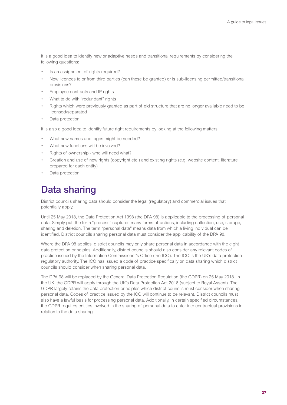It is a good idea to identify new or adaptive needs and transitional requirements by considering the following questions:

- Is an assignment of rights required?
- New licences to or from third parties (can these be granted) or is sub-licensing permitted/transitional provisions?
- Employee contracts and IP rights
- What to do with "redundant" rights
- Rights which were previously granted as part of old structure that are no longer available need to be licensed/separated
- Data protection.

It is also a good idea to identify future right requirements by looking at the following matters:

- What new names and logos might be needed?
- What new functions will be involved?
- Rights of ownership who will need what?
- Creation and use of new rights (copyright etc.) and existing rights (e.g. website content, literature prepared for each entity)
- Data protection.

## Data sharing

District councils sharing data should consider the legal (regulatory) and commercial issues that potentially apply.

Until 25 May 2018, the Data Protection Act 1998 (the DPA 98) is applicable to the processing of personal data. Simply put, the term "process" captures many forms of actions, including collection, use, storage, sharing and deletion. The term "personal data" means data from which a living individual can be identified. District councils sharing personal data must consider the applicability of the DPA 98.

Where the DPA 98 applies, district councils may only share personal data in accordance with the eight data protection principles. Additionally, district councils should also consider any relevant codes of practice issued by the Information Commissioner's Office (the ICO). The ICO is the UK's data protection regulatory authority. The ICO has issued a code of practice specifically on data sharing which district councils should consider when sharing personal data.

The DPA 98 will be replaced by the General Data Protection Regulation (the GDPR) on 25 May 2018. In the UK, the GDPR will apply through the UK's Data Protection Act 2018 (subject to Royal Assent). The GDPR largely retains the data protection principles which district councils must consider when sharing personal data. Codes of practice issued by the ICO will continue to be relevant. District councils must also have a lawful basis for processing personal data. Additionally, in certain specified circumstances, the GDPR requires entities involved in the sharing of personal data to enter into contractual provisions in relation to the data sharing.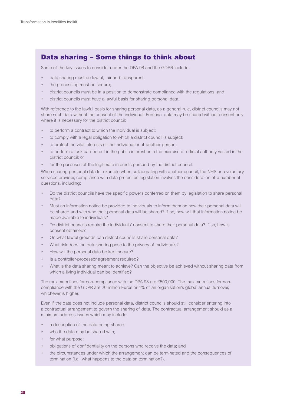### Data sharing – Some things to think about

Some of the key issues to consider under the DPA 98 and the GDPR include:

- data sharing must be lawful, fair and transparent;
- the processing must be secure;
- district councils must be in a position to demonstrate compliance with the regulations; and
- district councils must have a lawful basis for sharing personal data.

With reference to the lawful basis for sharing personal data, as a general rule, district councils may not share such data without the consent of the individual. Personal data may be shared without consent only where it is necessary for the district council:

- to perform a contract to which the individual is subject;
- to comply with a legal obligation to which a district council is subject;
- to protect the vital interests of the individual or of another person;
- to perform a task carried out in the public interest or in the exercise of official authority vested in the district council; or
- for the purposes of the legitimate interests pursued by the district council.

When sharing personal data for example when collaborating with another council, the NHS or a voluntary services provider, compliance with data protection legislation involves the consideration of a number of questions, including:

- Do the district councils have the specific powers conferred on them by legislation to share personal data?
- Must an information notice be provided to individuals to inform them on how their personal data will be shared and with who their personal data will be shared? If so, how will that information notice be made available to individuals?
- Do district councils require the individuals' consent to share their personal data? If so, how is consent obtained?
- On what lawful grounds can district councils share personal data?
- What risk does the data sharing pose to the privacy of individuals?
- How will the personal data be kept secure?
- Is a controller-processor agreement required?
- What is the data sharing meant to achieve? Can the objective be achieved without sharing data from which a living individual can be identified?

The maximum fines for non-compliance with the DPA 98 are £500,000. The maximum fines for noncompliance with the GDPR are 20 million Euros or 4% of an organisation's global annual turnover, whichever is higher.

Even if the data does not include personal data, district councils should still consider entering into a contractual arrangement to govern the sharing of data. The contractual arrangement should as a minimum address issues which may include:

- a description of the data being shared;
- who the data may be shared with;
- for what purpose;
- obligations of confidentiality on the persons who receive the data; and
- the circumstances under which the arrangement can be terminated and the consequences of termination (i.e., what happens to the data on termination?).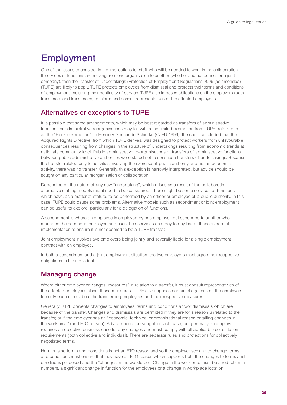## Employment

One of the issues to consider is the implications for staff who will be needed to work in the collaboration. If services or functions are moving from one organisation to another (whether another council or a joint company), then the Transfer of Undertakings (Protection of Employment) Regulations 2006 (as amended) (TUPE) are likely to apply. TUPE protects employees from dismissal and protects their terms and conditions of employment, including their continuity of service. TUPE also imposes obligations on the employers (both transferors and transferees) to inform and consult representatives of the affected employees.

### Alternatives or exceptions to TUPE

It is possible that some arrangements, which may be best regarded as transfers of administrative functions or administrative reorganisations may fall within the limited exemption from TUPE, referred to as the "Henke exemption". In Henke v Gemeinde Schierke (CJEU 1996), the court concluded that the Acquired Rights Directive, from which TUPE derives, was designed to protect workers from unfavourable consequences resulting from changes in the structure of undertakings resulting from economic trends at national / community level. Public administrative re-organisations or transfers of administrative functions between public administrative authorities were stated not to constitute transfers of undertakings. Because the transfer related only to activities involving the exercise of public authority and not an economic activity, there was no transfer. Generally, this exception is narrowly interpreted, but advice should be sought on any particular reorganisation or collaboration.

Depending on the nature of any new "undertaking", which arises as a result of the collaboration, alternative staffing models might need to be considered. There might be some services of functions which have, as a matter of statute, to be performed by an officer or employee of a public authority. In this case, TUPE could cause some problems. Alternative models such as secondment or joint employment can be useful to explore, particularly for a delegation of functions.

A secondment is where an employee is employed by one employer, but seconded to another who managed the seconded employee and uses their services on a day to day basis. It needs careful implementation to ensure it is not deemed to be a TUPE transfer.

Joint employment involves two employers being jointly and severally liable for a single employment contract with on employee.

In both a secondment and a joint employment situation, the two employers must agree their respective obligations to the individual.

### Managing change

Where either employer envisages "measures" in relation to a transfer, it must consult representatives of the affected employees about those measures. TUPE also imposes certain obligations on the employers to notify each other about the transferring employees and their respective measures.

Generally TUPE prevents changes to employees' terms and conditions and/or dismissals which are because of the transfer. Changes and dismissals are permitted if they are for a reason unrelated to the transfer, or if the employer has an "economic, technical or organisational reason entailing changes in the workforce" (and ETO reason). Advice should be sought in each case, but generally an employer requires an objective business case for any changes and must comply with all applicable consultation requirements (both collective and individual). There are separate rules and protections for collectively negotiated terms.

Harmonising terms and conditions is not an ETO reason and so the employer seeking to change terms and conditions must ensure that they have an ETO reason which supports both the changes to terms and conditions proposed and the "changes in the workforce". Change in the workforce must be a reduction in numbers, a significant change in function for the employees or a change in workplace location.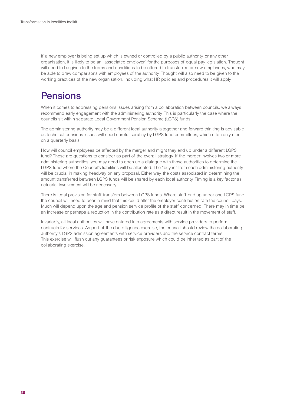If a new employer is being set up which is owned or controlled by a public authority, or any other organisation, it is likely to be an "associated employer" for the purposes of equal pay legislation. Thought will need to be given to the terms and conditions to be offered to transferred or new employees, who may be able to draw comparisons with employees of the authority. Thought will also need to be given to the working practices of the new organisation, including what HR policies and procedures it will apply.

## Pensions

When it comes to addressing pensions issues arising from a collaboration between councils, we always recommend early engagement with the administering authority. This is particularly the case where the councils sit within separate Local Government Pension Scheme (LGPS) funds.

The administering authority may be a different local authority altogether and forward thinking is advisable as technical pensions issues will need careful scrutiny by LGPS fund committees, which often only meet on a quarterly basis.

How will council employees be affected by the merger and might they end up under a different LGPS fund? These are questions to consider as part of the overall strategy. If the merger involves two or more administering authorities, you may need to open up a dialogue with those authorities to determine the LGPS fund where the Council's liabilities will be allocated. The "buy in" from each administering authority will be crucial in making headway on any proposal. Either way, the costs associated in determining the amount transferred between LGPS funds will be shared by each local authority. Timing is a key factor as actuarial involvement will be necessary.

There is legal provision for staff transfers between LGPS funds. Where staff end up under one LGPS fund, the council will need to bear in mind that this could alter the employer contribution rate the council pays. Much will depend upon the age and pension service profile of the staff concerned. There may in time be an increase or perhaps a reduction in the contribution rate as a direct result in the movement of staff.

Invariably, all local authorities will have entered into agreements with service providers to perform contracts for services. As part of the due diligence exercise, the council should review the collaborating authority's LGPS admission agreements with service providers and the service contract terms. This exercise will flush out any guarantees or risk exposure which could be inherited as part of the collaborating exercise.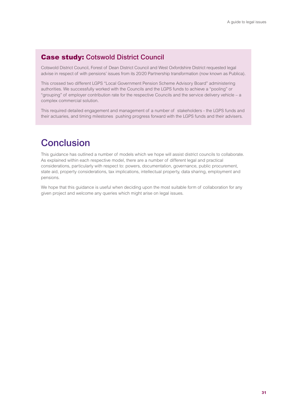### **Case study: Cotswold District Council**

Cotswold District Council, Forest of Dean District Council and West Oxfordshire District requested legal advise in respect of with pensions' issues from its 20/20 Partnership transformation (now known as Publica).

This crossed two different LGPS "Local Government Pension Scheme Advisory Board" administering authorities. We successfully worked with the Councils and the LGPS funds to achieve a "pooling" or "grouping" of employer contribution rate for the respective Councils and the service delivery vehicle – a complex commercial solution.

This required detailed engagement and management of a number of stakeholders - the LGPS funds and their actuaries, and timing milestones pushing progress forward with the LGPS funds and their advisers.

## Conclusion

This guidance has outlined a number of models which we hope will assist district councils to collaborate. As explained within each respective model, there are a number of different legal and practical considerations, particularly with respect to: powers, documentation, governance, public procurement, state aid, property considerations, tax implications, intellectual property, data sharing, employment and pensions.

We hope that this quidance is useful when deciding upon the most suitable form of collaboration for any given project and welcome any queries which might arise on legal issues.